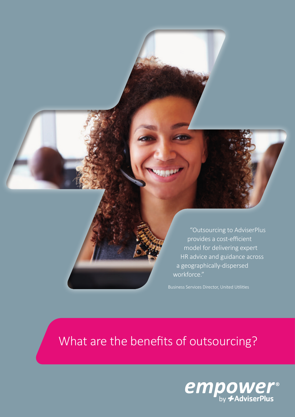

"Outsourcing to AdviserPlus provides a cost-efficient model for delivering expert HR advice and guidance across a geographically-dispersed workforce."

# What are the benefits of outsourcing?